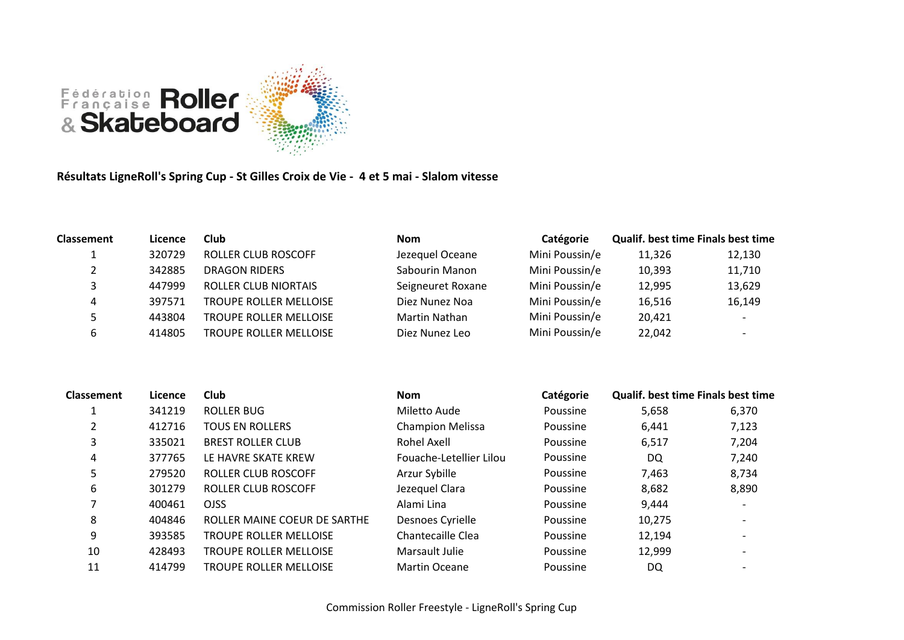

**Résultats LigneRoll's Spring Cup - St Gilles Croix de Vie - 4 et 5 mai - Slalom vitesse**

| <b>Classement</b> | Licence | Club                          | <b>Nom</b>        | <b>Catégorie</b> | <b>Qualif. best time Finals best time</b> |                          |
|-------------------|---------|-------------------------------|-------------------|------------------|-------------------------------------------|--------------------------|
|                   | 320729  | ROLLER CLUB ROSCOFF           | Jezequel Oceane   | Mini Poussin/e   | 11,326                                    | 12,130                   |
|                   | 342885  | DRAGON RIDERS                 | Sabourin Manon    | Mini Poussin/e   | 10,393                                    | 11,710                   |
|                   | 447999  | <b>ROLLER CLUB NIORTAIS</b>   | Seigneuret Roxane | Mini Poussin/e   | 12,995                                    | 13,629                   |
| 4                 | 397571  | <b>TROUPE ROLLER MELLOISE</b> | Diez Nunez Noa    | Mini Poussin/e   | 16,516                                    | 16,149                   |
|                   | 443804  | <b>TROUPE ROLLER MELLOISE</b> | Martin Nathan     | Mini Poussin/e   | 20,421                                    | $\overline{\phantom{0}}$ |
|                   | 414805  | <b>TROUPE ROLLER MELLOISE</b> | Diez Nunez Leo    | Mini Poussin/e   | 22,042                                    |                          |

| <b>Classement</b> | Licence | Club                          | <b>Nom</b>              | Catégorie | Qualif. best time Finals best time |                          |
|-------------------|---------|-------------------------------|-------------------------|-----------|------------------------------------|--------------------------|
| 1                 | 341219  | <b>ROLLER BUG</b>             | Miletto Aude            | Poussine  | 5,658                              | 6,370                    |
| 2                 | 412716  | <b>TOUS EN ROLLERS</b>        | <b>Champion Melissa</b> | Poussine  | 6,441                              | 7,123                    |
| 3                 | 335021  | <b>BREST ROLLER CLUB</b>      | Rohel Axell             | Poussine  | 6,517                              | 7,204                    |
| 4                 | 377765  | LE HAVRE SKATE KREW           | Fouache-Letellier Lilou | Poussine  | DQ                                 | 7,240                    |
| 5                 | 279520  | ROLLER CLUB ROSCOFF           | Arzur Sybille           | Poussine  | 7,463                              | 8,734                    |
| 6                 | 301279  | ROLLER CLUB ROSCOFF           | Jezequel Clara          | Poussine  | 8,682                              | 8,890                    |
|                   | 400461  | <b>OJSS</b>                   | Alami Lina              | Poussine  | 9,444                              |                          |
| 8                 | 404846  | ROLLER MAINE COEUR DE SARTHE  | Desnoes Cyrielle        | Poussine  | 10,275                             | $\overline{\phantom{a}}$ |
| 9                 | 393585  | <b>TROUPE ROLLER MELLOISE</b> | Chantecaille Clea       | Poussine  | 12,194                             |                          |
| 10                | 428493  | <b>TROUPE ROLLER MELLOISE</b> | Marsault Julie          | Poussine  | 12,999                             |                          |
| 11                | 414799  | <b>TROUPE ROLLER MELLOISE</b> | <b>Martin Oceane</b>    | Poussine  | DQ                                 |                          |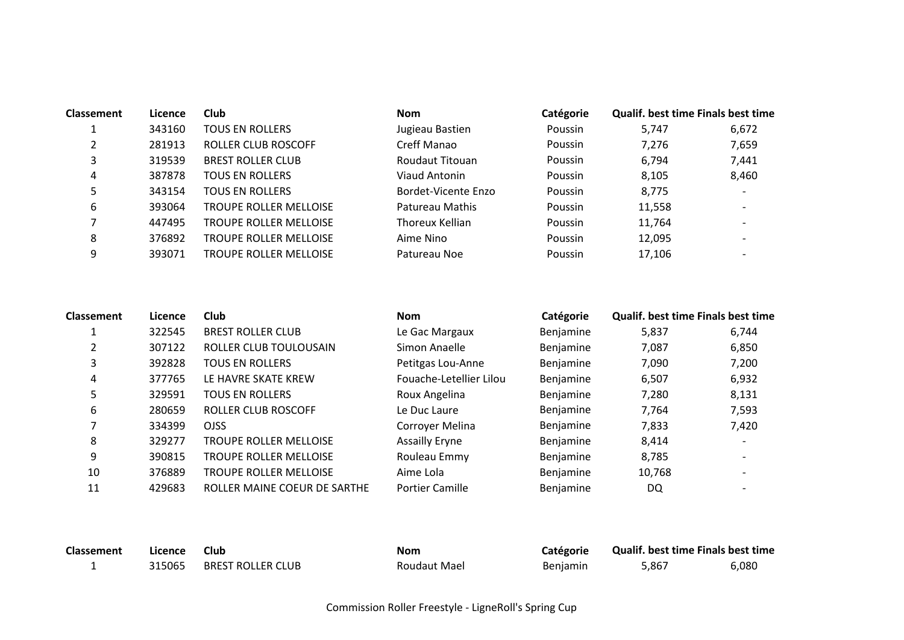| <b>Classement</b> | Licence | <b>Club</b>                   | <b>Nom</b>          | Catégorie      | <b>Qualif. best time Finals best time</b> |       |
|-------------------|---------|-------------------------------|---------------------|----------------|-------------------------------------------|-------|
|                   | 343160  | <b>TOUS EN ROLLERS</b>        | Jugieau Bastien     | Poussin        | 5.747                                     | 6,672 |
| ∍                 | 281913  | ROLLER CLUB ROSCOFF           | Creff Manao         | Poussin        | 7,276                                     | 7,659 |
| 3                 | 319539  | <b>BREST ROLLER CLUB</b>      | Roudaut Titouan     | Poussin        | 6.794                                     | 7,441 |
| 4                 | 387878  | <b>TOUS EN ROLLERS</b>        | Viaud Antonin       | Poussin        | 8.105                                     | 8,460 |
| 5                 | 343154  | <b>TOUS EN ROLLERS</b>        | Bordet-Vicente Enzo | <b>Poussin</b> | 8,775                                     |       |
| 6                 | 393064  | <b>TROUPE ROLLER MELLOISE</b> | Patureau Mathis     | Poussin        | 11,558                                    |       |
|                   | 447495  | <b>TROUPE ROLLER MELLOISE</b> | Thoreux Kellian     | Poussin        | 11,764                                    |       |
| 8                 | 376892  | <b>TROUPE ROLLER MELLOISE</b> | Aime Nino           | <b>Poussin</b> | 12,095                                    |       |
| 9                 | 393071  | <b>TROUPE ROLLER MELLOISE</b> | Patureau Noe        | Poussin        | 17,106                                    |       |

| <b>Classement</b> | Licence | Club                          | <b>Nom</b>              | Catégorie | <b>Qualif. best time Finals best time</b> |       |
|-------------------|---------|-------------------------------|-------------------------|-----------|-------------------------------------------|-------|
|                   | 322545  | <b>BREST ROLLER CLUB</b>      | Le Gac Margaux          | Benjamine | 5,837                                     | 6,744 |
| າ                 | 307122  | ROLLER CLUB TOULOUSAIN        | Simon Anaelle           | Benjamine | 7,087                                     | 6,850 |
| 3                 | 392828  | <b>TOUS EN ROLLERS</b>        | Petitgas Lou-Anne       | Benjamine | 7,090                                     | 7,200 |
| 4                 | 377765  | LE HAVRE SKATE KREW           | Fouache-Letellier Lilou | Benjamine | 6,507                                     | 6,932 |
| 5                 | 329591  | <b>TOUS EN ROLLERS</b>        | Roux Angelina           | Benjamine | 7,280                                     | 8,131 |
| 6                 | 280659  | ROLLER CLUB ROSCOFF           | Le Duc Laure            | Benjamine | 7.764                                     | 7,593 |
|                   | 334399  | <b>OJSS</b>                   | Corroyer Melina         | Benjamine | 7,833                                     | 7,420 |
| 8                 | 329277  | <b>TROUPE ROLLER MELLOISE</b> | <b>Assailly Eryne</b>   | Benjamine | 8,414                                     |       |
| 9                 | 390815  | <b>TROUPE ROLLER MELLOISE</b> | Rouleau Emmy            | Benjamine | 8,785                                     |       |
| 10                | 376889  | <b>TROUPE ROLLER MELLOISE</b> | Aime Lola               | Benjamine | 10,768                                    |       |
| 11                | 429683  | ROLLER MAINE COEUR DE SARTHE  | <b>Portier Camille</b>  | Benjamine | DQ                                        |       |

| Classement | Licence | Club              | Nom          | <b>Catégorie</b> | <b>Qualif. best time Finals best time</b> |       |
|------------|---------|-------------------|--------------|------------------|-------------------------------------------|-------|
|            | 315065  | BREST ROLLER CLUB | Roudaut Mael | <b>Benjamin</b>  | 5.867                                     | 6,080 |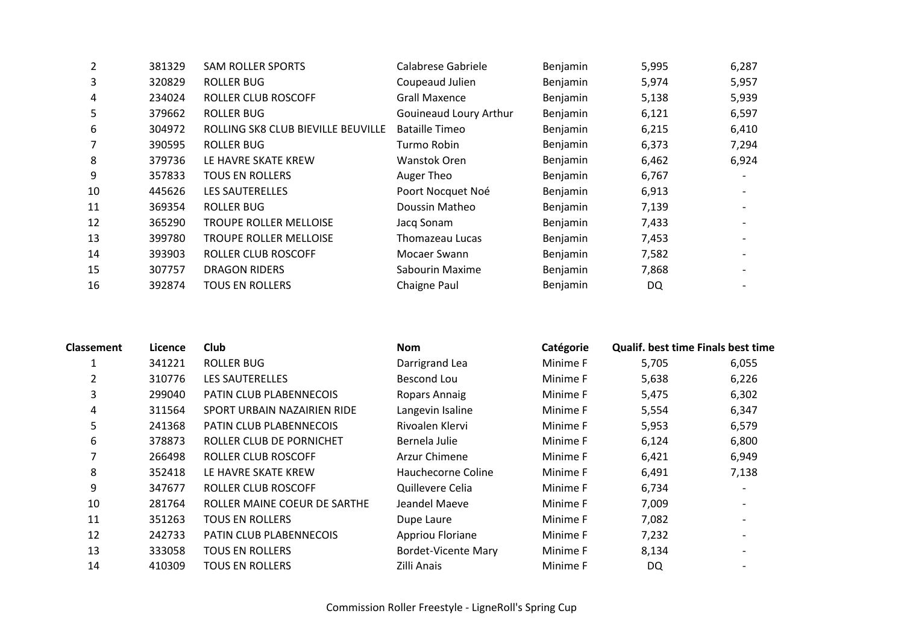| $\overline{2}$ | 381329 | <b>SAM ROLLER SPORTS</b>           | Calabrese Gabriele     | Benjamin | 5,995 | 6,287 |
|----------------|--------|------------------------------------|------------------------|----------|-------|-------|
| 3              | 320829 | ROLLER BUG                         | Coupeaud Julien        | Benjamin | 5,974 | 5,957 |
| 4              | 234024 | ROLLER CLUB ROSCOFF                | <b>Grall Maxence</b>   | Benjamin | 5,138 | 5,939 |
| 5.             | 379662 | ROLLER BUG                         | Gouineaud Loury Arthur | Benjamin | 6,121 | 6,597 |
| 6              | 304972 | ROLLING SK8 CLUB BIEVILLE BEUVILLE | <b>Bataille Timeo</b>  | Benjamin | 6,215 | 6,410 |
|                | 390595 | ROLLER BUG                         | Turmo Robin            | Benjamin | 6,373 | 7,294 |
| 8              | 379736 | LE HAVRE SKATE KREW                | Wanstok Oren           | Benjamin | 6,462 | 6,924 |
| 9              | 357833 | <b>TOUS EN ROLLERS</b>             | Auger Theo             | Benjamin | 6,767 |       |
| 10             | 445626 | LES SAUTERELLES                    | Poort Nocquet Noé      | Benjamin | 6,913 |       |
| 11             | 369354 | <b>ROLLER BUG</b>                  | Doussin Matheo         | Benjamin | 7,139 |       |
| 12             | 365290 | TROUPE ROLLER MELLOISE             | Jacq Sonam             | Benjamin | 7,433 |       |
| 13             | 399780 | <b>TROUPE ROLLER MELLOISE</b>      | Thomazeau Lucas        | Benjamin | 7,453 |       |
| 14             | 393903 | ROLLER CLUB ROSCOFF                | Mocaer Swann           | Benjamin | 7,582 |       |
| 15             | 307757 | <b>DRAGON RIDERS</b>               | Sabourin Maxime        | Benjamin | 7,868 |       |
| 16             | 392874 | <b>TOUS EN ROLLERS</b>             | Chaigne Paul           | Benjamin | DQ    |       |

| <b>Classement</b> | Licence | Club                           | Nom                        | Catégorie | Qualif. best time Finals best time |       |
|-------------------|---------|--------------------------------|----------------------------|-----------|------------------------------------|-------|
|                   | 341221  | ROLLER BUG                     | Darrigrand Lea             | Minime F  | 5,705                              | 6,055 |
| 2                 | 310776  | <b>LES SAUTERELLES</b>         | Bescond Lou                | Minime F  | 5,638                              | 6,226 |
| 3                 | 299040  | <b>PATIN CLUB PLABENNECOIS</b> | Ropars Annaig              | Minime F  | 5,475                              | 6,302 |
| 4                 | 311564  | SPORT URBAIN NAZAIRIEN RIDE    | Langevin Isaline           | Minime F  | 5,554                              | 6,347 |
| 5                 | 241368  | <b>PATIN CLUB PLABENNECOIS</b> | Rivoalen Klervi            | Minime F  | 5,953                              | 6,579 |
| 6                 | 378873  | ROLLER CLUB DE PORNICHET       | Bernela Julie              | Minime F  | 6,124                              | 6,800 |
|                   | 266498  | ROLLER CLUB ROSCOFF            | Arzur Chimene              | Minime F  | 6,421                              | 6,949 |
| 8                 | 352418  | LE HAVRE SKATE KREW            | Hauchecorne Coline         | Minime F  | 6,491                              | 7,138 |
| 9                 | 347677  | ROLLER CLUB ROSCOFF            | Quillevere Celia           | Minime F  | 6,734                              |       |
| 10                | 281764  | ROLLER MAINE COEUR DE SARTHE   | Jeandel Maeve              | Minime F  | 7,009                              |       |
| 11                | 351263  | <b>TOUS EN ROLLERS</b>         | Dupe Laure                 | Minime F  | 7,082                              |       |
| 12                | 242733  | <b>PATIN CLUB PLABENNECOIS</b> | Appriou Floriane           | Minime F  | 7,232                              |       |
| 13                | 333058  | <b>TOUS EN ROLLERS</b>         | <b>Bordet-Vicente Mary</b> | Minime F  | 8,134                              |       |
| 14                | 410309  | <b>TOUS EN ROLLERS</b>         | Zilli Anais                | Minime F  | DQ                                 |       |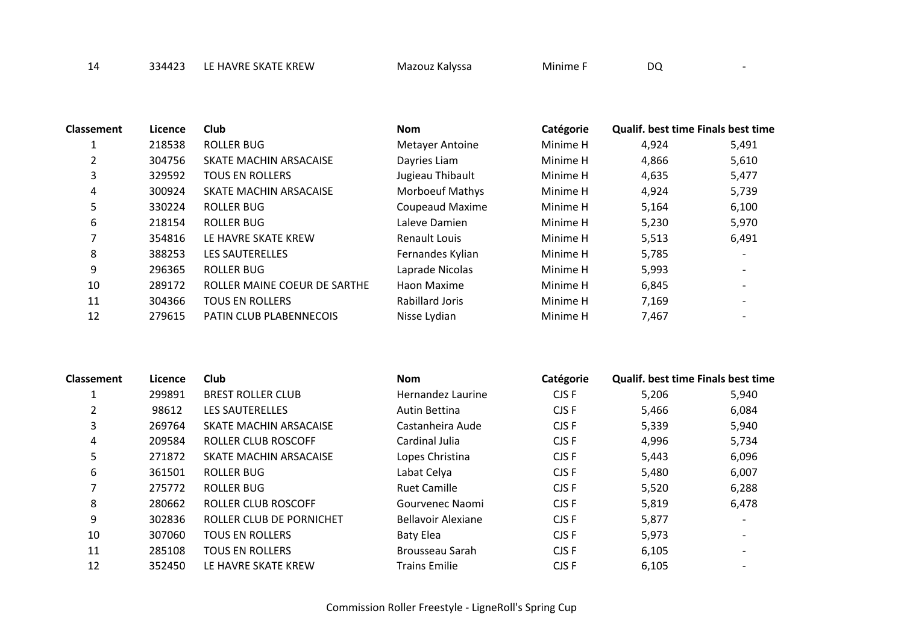14 334423 LE HAVRE SKATE KREW Mazouz Kalyssa Minime F DQ

**Classement Licence Club Nom Catégorie Qualif. best time Finals best time** 1 1 218538 ROLLER BUG 1990 Metayer Antoine Minime H 4,924 5,491 2 304756 SKATE MACHIN ARSACAISE Dayries Liam Minime H 4,866 5,610 3 329592 TOUS EN ROLLERS Jugieau Thibault Minime H 4,635 5,477 4 300924 SKATE MACHIN ARSACAISE Morboeuf Mathys Minime H 4,924 5,739 5 330224 ROLLER BUG Coupeaud Maxime Minime H 5,164 6,100 6 218154 ROLLER BUG Laleve Damien Minime H 5,230 5,970 7 354816 LE HAVRE SKATE KREW Renault Louis Minime H 5,513 6,491 8 388253 LES SAUTERELLES Fernandes Kylian Minime H 5,785 -9 296365 ROLLER BUG Laprade Nicolas Minime H 5,993 -10 289172 ROLLER MAINE COEUR DE SARTHE Haon Maxime Minime H 6,845 - 11 304366 TOUS EN ROLLERS Rabillard Joris Minime H 7,169 - 12 279615 PATIN CLUB PLABENNECOIS Nisse Lydian Minime H 7.467

| <b>Classement</b> | Licence | Club                       | <b>Nom</b>                | Catégorie | <b>Qualif. best time Finals best time</b> |       |
|-------------------|---------|----------------------------|---------------------------|-----------|-------------------------------------------|-------|
|                   | 299891  | <b>BREST ROLLER CLUB</b>   | Hernandez Laurine         | CJS F     | 5,206                                     | 5,940 |
| 2                 | 98612   | <b>LES SAUTERELLES</b>     | Autin Bettina             | CJS F     | 5,466                                     | 6,084 |
| 3                 | 269764  | SKATE MACHIN ARSACAISE     | Castanheira Aude          | CJS F     | 5,339                                     | 5,940 |
| 4                 | 209584  | <b>ROLLER CLUB ROSCOFF</b> | Cardinal Julia            | CJS F     | 4,996                                     | 5,734 |
| כ                 | 271872  | SKATE MACHIN ARSACAISE     | Lopes Christina           | CJS F     | 5,443                                     | 6,096 |
| 6                 | 361501  | ROLLER BUG                 | Labat Celya               | CJS F     | 5,480                                     | 6,007 |
|                   | 275772  | ROLLER BUG                 | <b>Ruet Camille</b>       | CJS F     | 5,520                                     | 6,288 |
| 8                 | 280662  | <b>ROLLER CLUB ROSCOFF</b> | Gourvenec Naomi           | CJS F     | 5,819                                     | 6,478 |
| 9                 | 302836  | ROLLER CLUB DE PORNICHET   | <b>Bellavoir Alexiane</b> | CJS F     | 5,877                                     |       |
| 10                | 307060  | <b>TOUS EN ROLLERS</b>     | Baty Elea                 | CJS F     | 5,973                                     |       |
| 11                | 285108  | <b>TOUS EN ROLLERS</b>     | Brousseau Sarah           | CJS F     | 6,105                                     |       |
| 12                | 352450  | LE HAVRE SKATE KREW        | <b>Trains Emilie</b>      | CJS F     | 6,105                                     |       |

Commission Roller Freestyle - LigneRoll's Spring Cup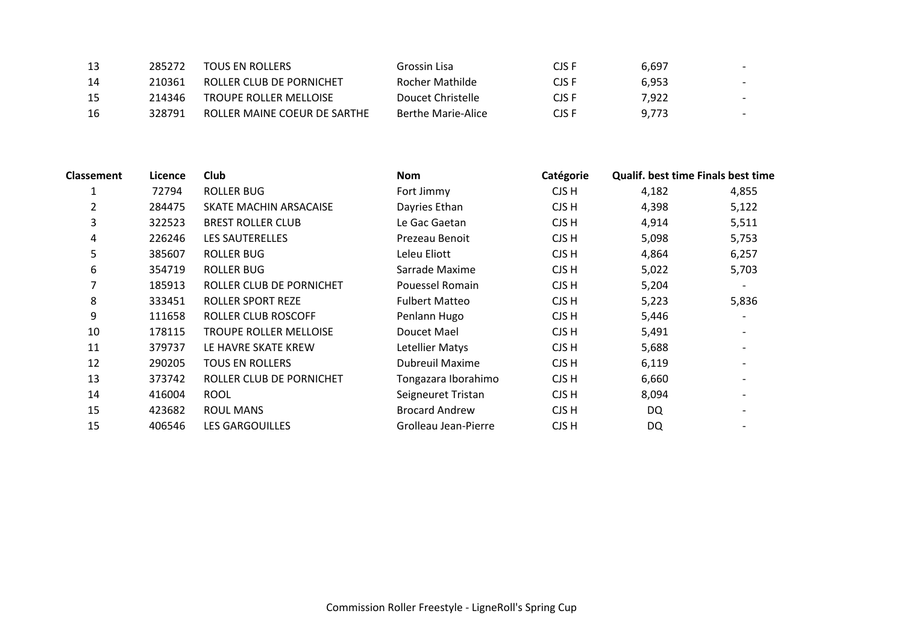| 13 | 285272 | TOUS EN ROLLERS               | Grossin Lisa       | CJS F | 6.697 |                          |
|----|--------|-------------------------------|--------------------|-------|-------|--------------------------|
| 14 | 210361 | ROLLER CLUB DE PORNICHET      | Rocher Mathilde    | CJS F | 6.953 |                          |
| 15 | 214346 | <b>TROUPE ROLLER MELLOISE</b> | Doucet Christelle  | CJS F | 7.922 | $\overline{\phantom{a}}$ |
| 16 | 328791 | ROLLER MAINE COEUR DE SARTHE  | Berthe Marie-Alice | CJS F | 9,773 | $\overline{\phantom{0}}$ |

| Licence | <b>Club</b>              | <b>Nom</b>             | Catégorie |       |                                           |
|---------|--------------------------|------------------------|-----------|-------|-------------------------------------------|
| 72794   | <b>ROLLER BUG</b>        | Fort Jimmy             | CJS H     | 4,182 | 4,855                                     |
| 284475  | SKATE MACHIN ARSACAISE   | Dayries Ethan          | CJS H     | 4,398 | 5,122                                     |
| 322523  | <b>BREST ROLLER CLUB</b> | Le Gac Gaetan          | CJS H     | 4,914 | 5,511                                     |
| 226246  | <b>LES SAUTERELLES</b>   | Prezeau Benoit         | CJS H     | 5,098 | 5,753                                     |
| 385607  | <b>ROLLER BUG</b>        | Leleu Eliott           | CJS H     | 4,864 | 6,257                                     |
| 354719  | <b>ROLLER BUG</b>        | Sarrade Maxime         | CJS H     | 5,022 | 5,703                                     |
| 185913  | ROLLER CLUB DE PORNICHET | Pouessel Romain        | CJS H     | 5,204 |                                           |
| 333451  | ROLLER SPORT REZE        | <b>Fulbert Matteo</b>  | CJS H     | 5,223 | 5,836                                     |
| 111658  | ROLLER CLUB ROSCOFF      | Penlann Hugo           | CJS H     | 5,446 |                                           |
| 178115  | TROUPE ROLLER MELLOISE   | Doucet Mael            | CJS H     | 5,491 |                                           |
| 379737  | LE HAVRE SKATE KREW      | Letellier Matys        | CJS H     | 5,688 | $\overline{\phantom{0}}$                  |
| 290205  | TOUS EN ROLLERS          | <b>Dubreuil Maxime</b> | CJS H     | 6,119 |                                           |
| 373742  | ROLLER CLUB DE PORNICHET | Tongazara Iborahimo    | CJS H     | 6,660 |                                           |
| 416004  | <b>ROOL</b>              | Seigneuret Tristan     | CJS H     | 8,094 |                                           |
| 423682  | ROUL MANS                | <b>Brocard Andrew</b>  | CJS H     | DQ    |                                           |
| 406546  | <b>LES GARGOUILLES</b>   | Grolleau Jean-Pierre   | CJS H     | DQ    |                                           |
|         |                          |                        |           |       | <b>Qualif. best time Finals best time</b> |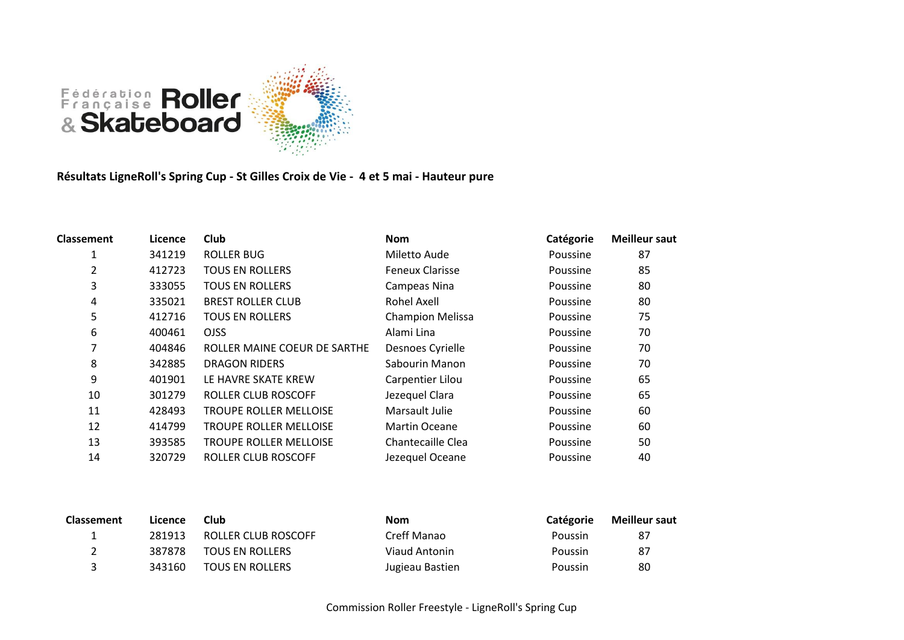

**Résultats LigneRoll's Spring Cup - St Gilles Croix de Vie - 4 et 5 mai - Hauteur pure**

| <b>Classement</b> | Licence | <b>Club</b>                   | <b>Nom</b>              | Catégorie | <b>Meilleur saut</b> |
|-------------------|---------|-------------------------------|-------------------------|-----------|----------------------|
| 1                 | 341219  | <b>ROLLER BUG</b>             | Miletto Aude            | Poussine  | 87                   |
| 2                 | 412723  | <b>TOUS EN ROLLERS</b>        | <b>Feneux Clarisse</b>  | Poussine  | 85                   |
| 3                 | 333055  | <b>TOUS EN ROLLERS</b>        | Campeas Nina            | Poussine  | 80                   |
| 4                 | 335021  | <b>BREST ROLLER CLUB</b>      | <b>Rohel Axell</b>      | Poussine  | 80                   |
| 5                 | 412716  | <b>TOUS EN ROLLERS</b>        | <b>Champion Melissa</b> | Poussine  | 75                   |
| 6                 | 400461  | OJSS.                         | Alami Lina              | Poussine  | 70                   |
| 7                 | 404846  | ROLLER MAINE COEUR DE SARTHE  | Desnoes Cyrielle        | Poussine  | 70                   |
| 8                 | 342885  | <b>DRAGON RIDERS</b>          | Sabourin Manon          | Poussine  | 70                   |
| 9                 | 401901  | LE HAVRE SKATE KREW           | Carpentier Lilou        | Poussine  | 65                   |
| 10                | 301279  | ROLLER CLUB ROSCOFF           | Jezequel Clara          | Poussine  | 65                   |
| 11                | 428493  | <b>TROUPE ROLLER MELLOISE</b> | Marsault Julie          | Poussine  | 60                   |
| 12                | 414799  | <b>TROUPE ROLLER MELLOISE</b> | <b>Martin Oceane</b>    | Poussine  | 60                   |
| 13                | 393585  | <b>TROUPE ROLLER MELLOISE</b> | Chantecaille Clea       | Poussine  | 50                   |
| 14                | 320729  | ROLLER CLUB ROSCOFF           | Jezequel Oceane         | Poussine  | 40                   |
|                   |         |                               |                         |           |                      |

| <b>Classement</b> | Licence | Club                   | <b>Nom</b>      | Catégorie | <b>Meilleur saut</b> |
|-------------------|---------|------------------------|-----------------|-----------|----------------------|
|                   | 281913  | ROLLER CLUB ROSCOFF    | Creff Manao     | Poussin   | 87                   |
|                   | 387878  | <b>TOUS EN ROLLERS</b> | Viaud Antonin   | Poussin   | 87                   |
|                   | 343160  | <b>TOUS EN ROLLERS</b> | Jugieau Bastien | Poussin   | 80                   |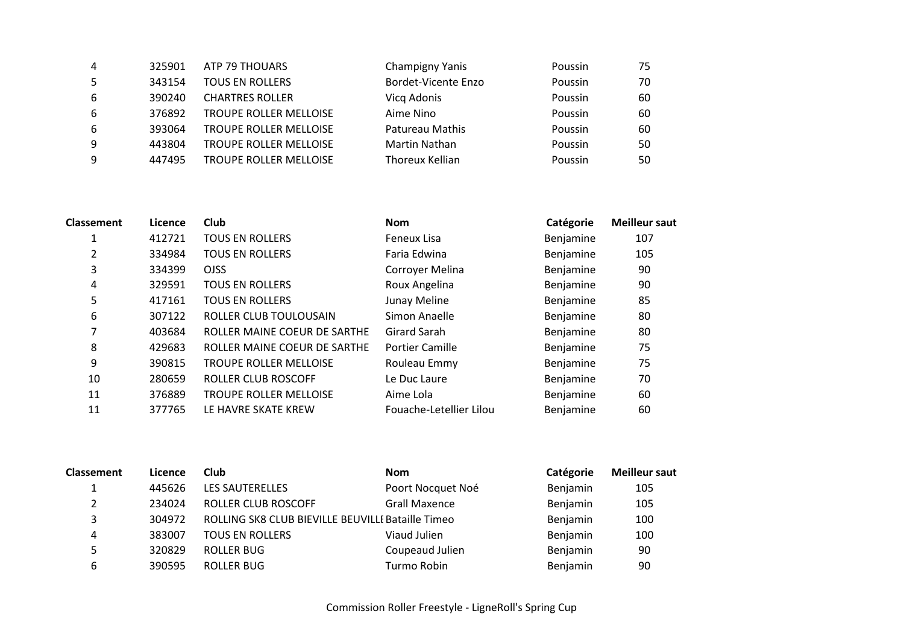| 4  | 325901 | ATP 79 THOUARS                | <b>Champigny Yanis</b>     | Poussin | 75 |
|----|--------|-------------------------------|----------------------------|---------|----|
| 5  | 343154 | <b>TOUS EN ROLLERS</b>        | <b>Bordet-Vicente Enzo</b> | Poussin | 70 |
| 6  | 390240 | <b>CHARTRES ROLLER</b>        | Vicq Adonis                | Poussin | 60 |
| 6  | 376892 | <b>TROUPE ROLLER MELLOISE</b> | Aime Nino                  | Poussin | 60 |
| -6 | 393064 | TROUPE ROLLER MELLOISE        | Patureau Mathis            | Poussin | 60 |
| 9  | 443804 | <b>TROUPE ROLLER MELLOISE</b> | <b>Martin Nathan</b>       | Poussin | 50 |
| 9  | 447495 | <b>TROUPE ROLLER MELLOISE</b> | Thoreux Kellian            | Poussin | 50 |

| Classement | Licence | Club                          | <b>Nom</b>              | Catégorie | <b>Meilleur saut</b> |
|------------|---------|-------------------------------|-------------------------|-----------|----------------------|
|            | 412721  | <b>TOUS EN ROLLERS</b>        | Feneux Lisa             | Benjamine | 107                  |
| 2          | 334984  | <b>TOUS EN ROLLERS</b>        | Faria Edwina            | Benjamine | 105                  |
| 3          | 334399  | <b>OJSS</b>                   | Corroyer Melina         | Benjamine | 90                   |
| 4          | 329591  | <b>TOUS EN ROLLERS</b>        | Roux Angelina           | Benjamine | 90                   |
| 5          | 417161  | <b>TOUS EN ROLLERS</b>        | Junay Meline            | Benjamine | 85                   |
| 6          | 307122  | ROLLER CLUB TOULOUSAIN        | Simon Anaelle           | Benjamine | 80                   |
| 7          | 403684  | ROLLER MAINE COEUR DE SARTHE  | Girard Sarah            | Benjamine | 80                   |
| 8          | 429683  | ROLLER MAINE COEUR DE SARTHE  | <b>Portier Camille</b>  | Benjamine | 75                   |
| 9          | 390815  | <b>TROUPE ROLLER MELLOISE</b> | Rouleau Emmy            | Benjamine | 75                   |
| 10         | 280659  | ROLLER CLUB ROSCOFF           | Le Duc Laure            | Benjamine | 70                   |
| 11         | 376889  | <b>TROUPE ROLLER MELLOISE</b> | Aime Lola               | Benjamine | 60                   |
| 11         | 377765  | LE HAVRE SKATE KREW           | Fouache-Letellier Lilou | Benjamine | 60                   |

| <b>Classement</b> | Licence | Club                                              | <b>Nom</b>           | Catégorie | <b>Meilleur saut</b> |
|-------------------|---------|---------------------------------------------------|----------------------|-----------|----------------------|
|                   | 445626  | <b>LES SAUTERELLES</b>                            | Poort Nocquet Noé    | Benjamin  | 105                  |
|                   | 234024  | ROLLER CLUB ROSCOFF                               | <b>Grall Maxence</b> | Benjamin  | 105                  |
| 3                 | 304972  | ROLLING SK8 CLUB BIEVILLE BEUVILLE Bataille Timeo |                      | Benjamin  | 100                  |
| 4                 | 383007  | <b>TOUS EN ROLLERS</b>                            | Viaud Julien         | Benjamin  | 100                  |
|                   | 320829  | ROLLER BUG                                        | Coupeaud Julien      | Benjamin  | 90                   |
| 6                 | 390595  | ROLLER BUG                                        | Turmo Robin          | Benjamin  | 90                   |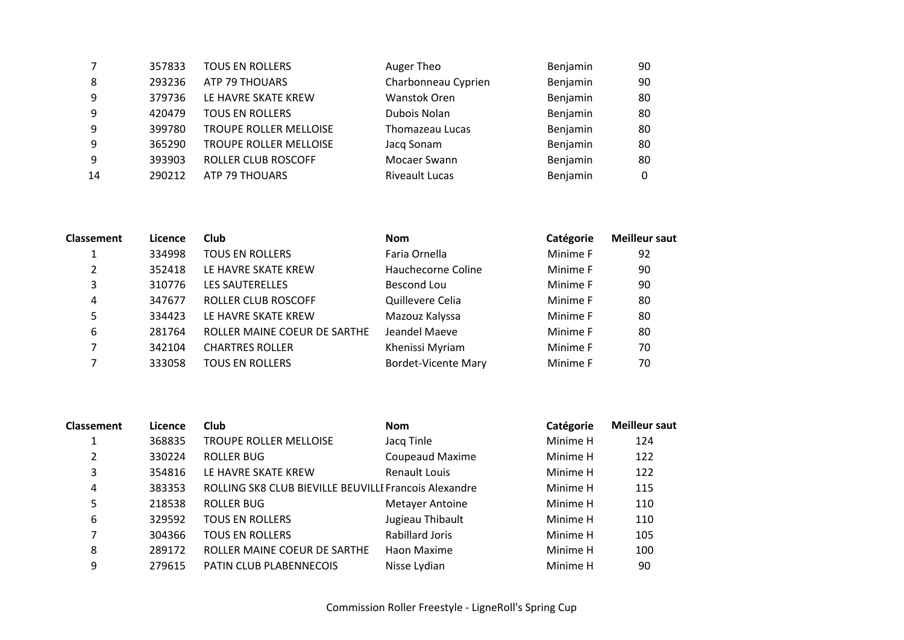|    | 357833 | <b>TOUS EN ROLLERS</b>        | Auger Theo            | Benjamin | 90 |
|----|--------|-------------------------------|-----------------------|----------|----|
| 8  | 293236 | ATP 79 THOUARS                | Charbonneau Cyprien   | Benjamin | 90 |
| 9  | 379736 | LE HAVRE SKATE KREW           | Wanstok Oren          | Benjamin | 80 |
| 9  | 420479 | <b>TOUS EN ROLLERS</b>        | Dubois Nolan          | Benjamin | 80 |
| 9  | 399780 | <b>TROUPE ROLLER MELLOISE</b> | Thomazeau Lucas       | Benjamin | 80 |
| 9  | 365290 | <b>TROUPE ROLLER MELLOISE</b> | Jacq Sonam            | Benjamin | 80 |
| 9  | 393903 | <b>ROLLER CLUB ROSCOFF</b>    | Mocaer Swann          | Benjamin | 80 |
| 14 | 290212 | <b>ATP 79 THOUARS</b>         | <b>Riveault Lucas</b> | Benjamin |    |

| <b>Classement</b> | Licence | Club                         | <b>Nom</b>                 | Catégorie | <b>Meilleur saut</b> |
|-------------------|---------|------------------------------|----------------------------|-----------|----------------------|
|                   | 334998  | <b>TOUS EN ROLLERS</b>       | Faria Ornella              | Minime F  | 92                   |
| 2                 | 352418  | LE HAVRE SKATE KREW          | Hauchecorne Coline         | Minime F  | 90                   |
| 3                 | 310776  | <b>LES SAUTERELLES</b>       | Bescond Lou                | Minime F  | 90                   |
| 4                 | 347677  | ROLLER CLUB ROSCOFF          | Quillevere Celia           | Minime F  | 80                   |
| 5                 | 334423  | LE HAVRE SKATE KREW          | Mazouz Kalyssa             | Minime F  | 80                   |
| 6                 | 281764  | ROLLER MAINE COEUR DE SARTHE | Jeandel Maeve              | Minime F  | 80                   |
|                   | 342104  | <b>CHARTRES ROLLER</b>       | Khenissi Myriam            | Minime F  | 70                   |
|                   | 333058  | <b>TOUS EN ROLLERS</b>       | <b>Bordet-Vicente Mary</b> | Minime F  | 70                   |

| <b>Classement</b> | Licence | Club                                                  | <b>Nom</b>             | Catégorie | <b>Meilleur saut</b> |
|-------------------|---------|-------------------------------------------------------|------------------------|-----------|----------------------|
|                   | 368835  | <b>TROUPE ROLLER MELLOISE</b>                         | Jacq Tinle             | Minime H  | 124                  |
| 2                 | 330224  | ROLLER BUG                                            | <b>Coupeaud Maxime</b> | Minime H  | 122                  |
| 3                 | 354816  | LE HAVRE SKATE KREW                                   | Renault Louis          | Minime H  | 122                  |
| 4                 | 383353  | ROLLING SK8 CLUB BIEVILLE BEUVILLE Francois Alexandre |                        | Minime H  | 115                  |
| 5                 | 218538  | ROLLER BUG                                            | <b>Metayer Antoine</b> | Minime H  | 110                  |
| 6                 | 329592  | <b>TOUS EN ROLLERS</b>                                | Jugieau Thibault       | Minime H  | 110                  |
| 7                 | 304366  | <b>TOUS EN ROLLERS</b>                                | Rabillard Joris        | Minime H  | 105                  |
| 8                 | 289172  | ROLLER MAINE COEUR DE SARTHE                          | Haon Maxime            | Minime H  | 100                  |
| 9                 | 279615  | PATIN CLUB PLABENNECOIS                               | Nisse Lydian           | Minime H  | 90                   |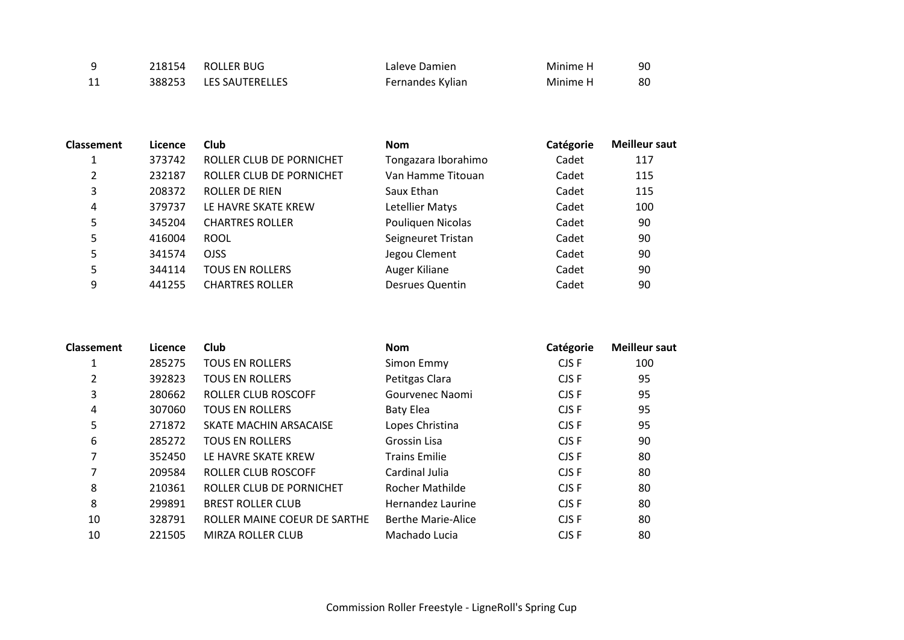|    | 218154 ROLLER BUG      | Laleve Damien    | Minime H | 90 |
|----|------------------------|------------------|----------|----|
| 11 | 388253 LES SAUTERELLES | Fernandes Kylian | Minime H | 80 |

| <b>Classement</b> | Licence | Club                     | <b>Nom</b>             | Catégorie | <b>Meilleur saut</b> |
|-------------------|---------|--------------------------|------------------------|-----------|----------------------|
|                   | 373742  | ROLLER CLUB DE PORNICHET | Tongazara Iborahimo    | Cadet     | 117                  |
| 2                 | 232187  | ROLLER CLUB DE PORNICHET | Van Hamme Titouan      | Cadet     | 115                  |
| 3                 | 208372  | ROLLER DE RIEN           | Saux Ethan             | Cadet     | 115                  |
| 4                 | 379737  | LE HAVRE SKATE KREW      | Letellier Matys        | Cadet     | 100                  |
| 5                 | 345204  | <b>CHARTRES ROLLER</b>   | Pouliquen Nicolas      | Cadet     | 90                   |
| 5                 | 416004  | <b>ROOL</b>              | Seigneuret Tristan     | Cadet     | 90                   |
| 5                 | 341574  | <b>OJSS</b>              | Jegou Clement          | Cadet     | 90                   |
| 5                 | 344114  | <b>TOUS EN ROLLERS</b>   | Auger Kiliane          | Cadet     | 90                   |
| 9                 | 441255  | <b>CHARTRES ROLLER</b>   | <b>Desrues Quentin</b> | Cadet     | 90                   |

| <b>Classement</b> | Licence | Club                         | <b>Nom</b>                | Catégorie | <b>Meilleur saut</b> |
|-------------------|---------|------------------------------|---------------------------|-----------|----------------------|
|                   | 285275  | <b>TOUS EN ROLLERS</b>       | Simon Emmy                | CJS F     | 100                  |
| 2                 | 392823  | <b>TOUS EN ROLLERS</b>       | Petitgas Clara            | CJS F     | 95                   |
| 3                 | 280662  | ROLLER CLUB ROSCOFF          | Gourvenec Naomi           | CJS F     | 95                   |
| 4                 | 307060  | <b>TOUS EN ROLLERS</b>       | Baty Elea                 | CJS F     | 95                   |
| 5                 | 271872  | SKATE MACHIN ARSACAISE       | Lopes Christina           | CJS F     | 95                   |
| 6                 | 285272  | <b>TOUS EN ROLLERS</b>       | Grossin Lisa              | CJS F     | 90                   |
| 7                 | 352450  | LE HAVRE SKATE KREW          | <b>Trains Emilie</b>      | CJS F     | 80                   |
| 7                 | 209584  | ROLLER CLUB ROSCOFF          | Cardinal Julia            | CJS F     | 80                   |
| 8                 | 210361  | ROLLER CLUB DE PORNICHET     | Rocher Mathilde           | CJS F     | 80                   |
| 8                 | 299891  | <b>BREST ROLLER CLUB</b>     | Hernandez Laurine         | CJS F     | 80                   |
| 10                | 328791  | ROLLER MAINE COEUR DE SARTHE | <b>Berthe Marie-Alice</b> | CJS F     | 80                   |
| 10                | 221505  | <b>MIRZA ROLLER CLUB</b>     | Machado Lucia             | CJS F     | 80                   |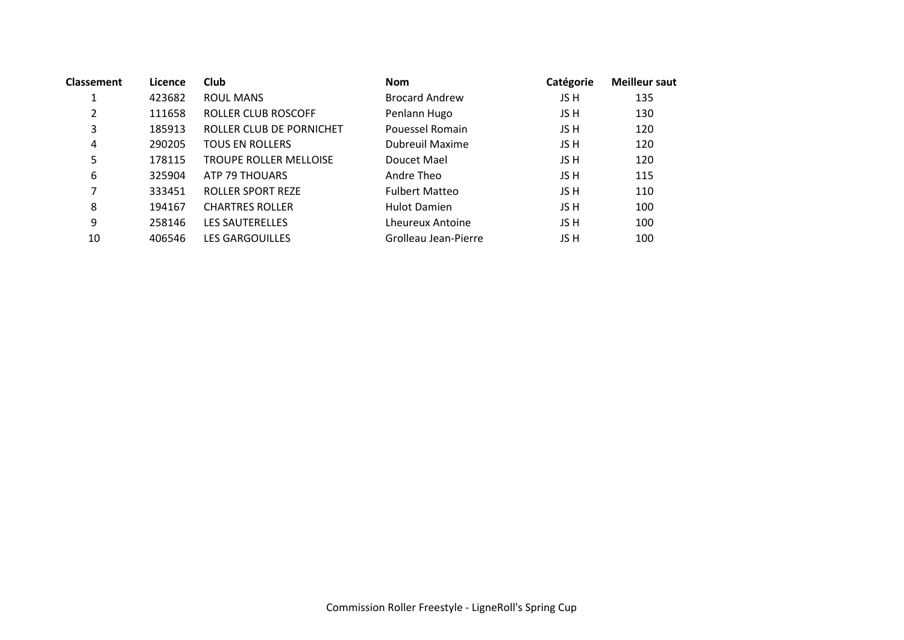| <b>Classement</b> | Licence | Club                          | <b>Nom</b>             | Catégorie | <b>Meilleur saut</b> |
|-------------------|---------|-------------------------------|------------------------|-----------|----------------------|
| 1                 | 423682  | <b>ROUL MANS</b>              | <b>Brocard Andrew</b>  | JS H      | 135                  |
| $\overline{2}$    | 111658  | ROLLER CLUB ROSCOFF           | Penlann Hugo           | JS H      | 130                  |
| 3                 | 185913  | ROLLER CLUB DE PORNICHET      | Pouessel Romain        | JS H      | 120                  |
| 4                 | 290205  | <b>TOUS EN ROLLERS</b>        | <b>Dubreuil Maxime</b> | JS H      | 120                  |
| 5                 | 178115  | <b>TROUPE ROLLER MELLOISE</b> | Doucet Mael            | JS H      | 120                  |
| 6                 | 325904  | ATP 79 THOUARS                | Andre Theo             | JS H      | 115                  |
| 7                 | 333451  | <b>ROLLER SPORT REZE</b>      | <b>Fulbert Matteo</b>  | JS H      | 110                  |
| 8                 | 194167  | <b>CHARTRES ROLLER</b>        | <b>Hulot Damien</b>    | JS H      | 100                  |
| 9                 | 258146  | <b>LES SAUTERELLES</b>        | Lheureux Antoine       | JS H      | 100                  |
| 10                | 406546  | <b>LES GARGOUILLES</b>        | Grolleau Jean-Pierre   | JS H      | 100                  |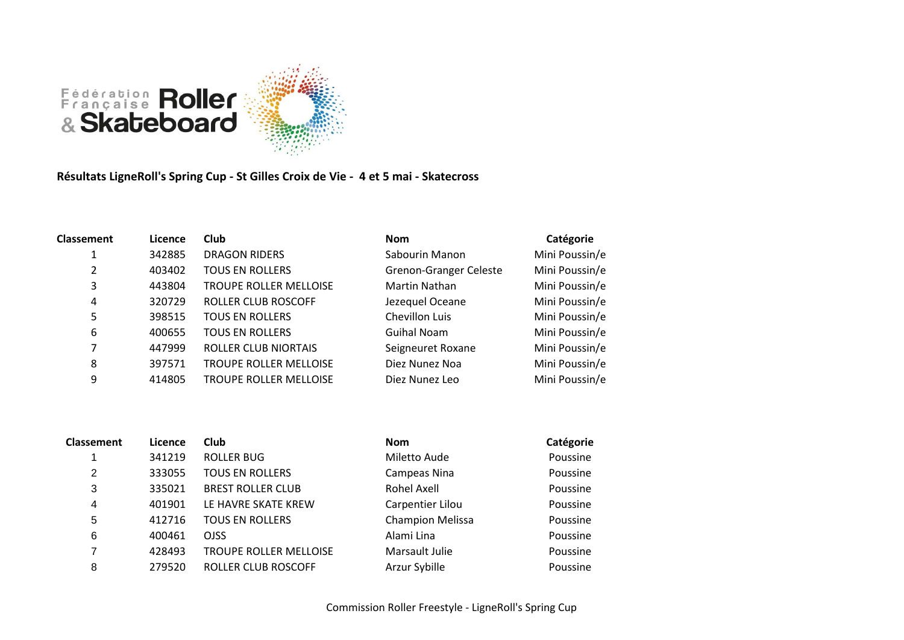

**Résultats LigneRoll's Spring Cup - St Gilles Croix de Vie - 4 et 5 mai - Skatecross**

| <b>Classement</b> | Licence | <b>Club</b>                   | <b>Nom</b>                    | Catégorie      |
|-------------------|---------|-------------------------------|-------------------------------|----------------|
| 1                 | 342885  | <b>DRAGON RIDERS</b>          | Sabourin Manon                | Mini Poussin/e |
| 2                 | 403402  | <b>TOUS EN ROLLERS</b>        | <b>Grenon-Granger Celeste</b> | Mini Poussin/e |
| 3                 | 443804  | <b>TROUPE ROLLER MELLOISE</b> | <b>Martin Nathan</b>          | Mini Poussin/e |
| 4                 | 320729  | ROLLER CLUB ROSCOFF           | Jezequel Oceane               | Mini Poussin/e |
| 5                 | 398515  | <b>TOUS EN ROLLERS</b>        | Chevillon Luis                | Mini Poussin/e |
| 6                 | 400655  | <b>TOUS EN ROLLERS</b>        | Guihal Noam                   | Mini Poussin/e |
| 7                 | 447999  | <b>ROLLER CLUB NIORTAIS</b>   | Seigneuret Roxane             | Mini Poussin/e |
| 8                 | 397571  | <b>TROUPE ROLLER MELLOISE</b> | Diez Nunez Noa                | Mini Poussin/e |
| 9                 | 414805  | <b>TROUPE ROLLER MELLOISE</b> | Diez Nunez Leo                | Mini Poussin/e |

| <b>Classement</b> | Licence | Club                          | <b>Nom</b>              | Catégorie |
|-------------------|---------|-------------------------------|-------------------------|-----------|
|                   | 341219  | <b>ROLLER BUG</b>             | Miletto Aude            | Poussine  |
| 2                 | 333055  | <b>TOUS EN ROLLERS</b>        | Campeas Nina            | Poussine  |
| 3                 | 335021  | <b>BREST ROLLER CLUB</b>      | <b>Rohel Axell</b>      | Poussine  |
| 4                 | 401901  | LE HAVRE SKATE KREW           | Carpentier Lilou        | Poussine  |
| 5                 | 412716  | <b>TOUS EN ROLLERS</b>        | <b>Champion Melissa</b> | Poussine  |
| 6                 | 400461  | <b>OJSS</b>                   | Alami Lina              | Poussine  |
| 7                 | 428493  | <b>TROUPE ROLLER MELLOISE</b> | Marsault Julie          | Poussine  |
| 8                 | 279520  | ROLLER CLUB ROSCOFF           | Arzur Sybille           | Poussine  |
|                   |         |                               |                         |           |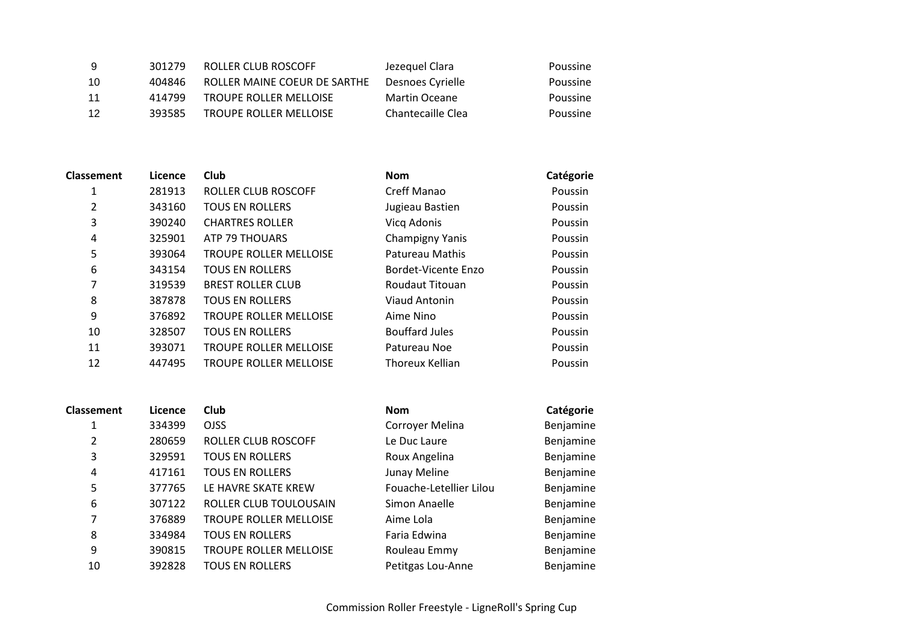| - 9 | 301279 | ROLLER CLUB ROSCOFF           | Jezeguel Clara    | Poussine |
|-----|--------|-------------------------------|-------------------|----------|
| -10 | 404846 | ROLLER MAINE COEUR DE SARTHE  | Desnoes Cyrielle  | Poussine |
| 11  | 414799 | <b>TROUPE ROLLER MELLOISE</b> | Martin Oceane     | Poussine |
| -12 | 393585 | <b>TROUPE ROLLER MELLOISE</b> | Chantecaille Clea | Poussine |

| <b>Classement</b> | Licence | <b>Club</b>                   | <b>Nom</b>             | Catégorie |
|-------------------|---------|-------------------------------|------------------------|-----------|
|                   | 281913  | ROLLER CLUB ROSCOFF           | Creff Manao            | Poussin   |
| 2                 | 343160  | <b>TOUS EN ROLLERS</b>        | Jugieau Bastien        | Poussin   |
| 3                 | 390240  | <b>CHARTRES ROLLER</b>        | Vicq Adonis            | Poussin   |
| 4                 | 325901  | ATP 79 THOUARS                | <b>Champigny Yanis</b> | Poussin   |
| 5                 | 393064  | <b>TROUPE ROLLER MELLOISE</b> | Patureau Mathis        | Poussin   |
| 6                 | 343154  | <b>TOUS EN ROLLERS</b>        | Bordet-Vicente Enzo    | Poussin   |
| 7                 | 319539  | <b>BREST ROLLER CLUB</b>      | <b>Roudaut Titouan</b> | Poussin   |
| 8                 | 387878  | <b>TOUS EN ROLLERS</b>        | Viaud Antonin          | Poussin   |
| 9                 | 376892  | <b>TROUPE ROLLER MELLOISE</b> | Aime Nino              | Poussin   |
| 10                | 328507  | <b>TOUS EN ROLLERS</b>        | <b>Bouffard Jules</b>  | Poussin   |
| 11                | 393071  | <b>TROUPE ROLLER MELLOISE</b> | Patureau Noe           | Poussin   |
| 12                | 447495  | <b>TROUPE ROLLER MELLOISE</b> | Thoreux Kellian        | Poussin   |

| <b>Classement</b> | Licence | Club                   | <b>Nom</b>              | Catégorie |
|-------------------|---------|------------------------|-------------------------|-----------|
| 1                 | 334399  | <b>OJSS</b>            | Corroyer Melina         | Benjamine |
| 2                 | 280659  | ROLLER CLUB ROSCOFF    | Le Duc Laure            | Benjamine |
| 3                 | 329591  | <b>TOUS EN ROLLERS</b> | Roux Angelina           | Benjamine |
| 4                 | 417161  | <b>TOUS EN ROLLERS</b> | Junay Meline            | Benjamine |
| 5                 | 377765  | LE HAVRE SKATE KREW    | Fouache-Letellier Lilou | Benjamine |
| 6                 | 307122  | ROLLER CLUB TOULOUSAIN | Simon Anaelle           | Benjamine |
| 7                 | 376889  | TROUPE ROLLER MELLOISE | Aime Lola               | Benjamine |
| 8                 | 334984  | <b>TOUS EN ROLLERS</b> | Faria Edwina            | Benjamine |
| 9                 | 390815  | TROUPE ROLLER MELLOISE | Rouleau Emmy            | Benjamine |
| 10                | 392828  | <b>TOUS EN ROLLERS</b> | Petitgas Lou-Anne       | Benjamine |

| <b>Nom</b>              | Catégorie |
|-------------------------|-----------|
| Corroyer Melina         | Benjamine |
| Le Duc Laure            | Benjamine |
| Roux Angelina           | Benjamine |
| Junay Meline            | Benjamine |
| Fouache-Letellier Lilou | Benjamine |
| Simon Anaelle           | Benjamine |
| Aime Lola               | Benjamine |
| Faria Edwina            | Benjamine |
| Rouleau Emmy            | Benjamine |
| Petitgas Lou-Anne       | Benjamine |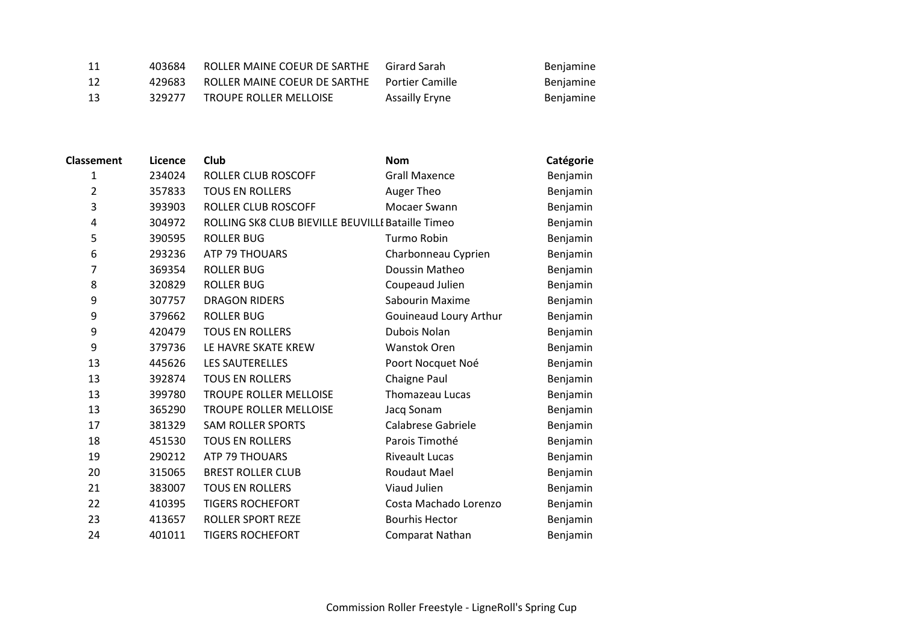| -11 | 403684 | ROLLER MAINE COEUR DE SARTHE                 | Girard Sarah          | Benjamine |
|-----|--------|----------------------------------------------|-----------------------|-----------|
| -12 | 429683 | ROLLER MAINE COEUR DE SARTHE Portier Camille |                       | Benjamine |
| -13 | 329277 | <b>TROUPE ROLLER MELLOISE</b>                | <b>Assailly Eryne</b> | Benjamine |

| <b>Classement</b> | Licence | Club                                              | <b>Nom</b>             | Catégorie |
|-------------------|---------|---------------------------------------------------|------------------------|-----------|
| $\mathbf{1}$      | 234024  | <b>ROLLER CLUB ROSCOFF</b>                        | <b>Grall Maxence</b>   | Benjamin  |
| $\overline{2}$    | 357833  | <b>TOUS EN ROLLERS</b>                            | Auger Theo             | Benjamin  |
| 3                 | 393903  | <b>ROLLER CLUB ROSCOFF</b>                        | Mocaer Swann           | Benjamin  |
| 4                 | 304972  | ROLLING SK8 CLUB BIEVILLE BEUVILLE Bataille Timeo |                        | Benjamin  |
| 5                 | 390595  | <b>ROLLER BUG</b>                                 | Turmo Robin            | Benjamin  |
| 6                 | 293236  | ATP 79 THOUARS                                    | Charbonneau Cyprien    | Benjamin  |
| 7                 | 369354  | <b>ROLLER BUG</b>                                 | Doussin Matheo         | Benjamin  |
| 8                 | 320829  | <b>ROLLER BUG</b>                                 | Coupeaud Julien        | Benjamin  |
| 9                 | 307757  | <b>DRAGON RIDERS</b>                              | Sabourin Maxime        | Benjamin  |
| 9                 | 379662  | <b>ROLLER BUG</b>                                 | Gouineaud Loury Arthur | Benjamin  |
| 9                 | 420479  | <b>TOUS EN ROLLERS</b>                            | Dubois Nolan           | Benjamin  |
| 9                 | 379736  | LE HAVRE SKATE KREW                               | Wanstok Oren           | Benjamin  |
| 13                | 445626  | <b>LES SAUTERELLES</b>                            | Poort Nocquet Noé      | Benjamin  |
| 13                | 392874  | <b>TOUS EN ROLLERS</b>                            | Chaigne Paul           | Benjamin  |
| 13                | 399780  | TROUPE ROLLER MELLOISE                            | Thomazeau Lucas        | Benjamin  |
| 13                | 365290  | TROUPE ROLLER MELLOISE                            | Jacq Sonam             | Benjamin  |
| 17                | 381329  | <b>SAM ROLLER SPORTS</b>                          | Calabrese Gabriele     | Benjamin  |
| 18                | 451530  | <b>TOUS EN ROLLERS</b>                            | Parois Timothé         | Benjamin  |
| 19                | 290212  | ATP 79 THOUARS                                    | <b>Riveault Lucas</b>  | Benjamin  |
| 20                | 315065  | <b>BREST ROLLER CLUB</b>                          | Roudaut Mael           | Benjamin  |
| 21                | 383007  | <b>TOUS EN ROLLERS</b>                            | Viaud Julien           | Benjamin  |
| 22                | 410395  | <b>TIGERS ROCHEFORT</b>                           | Costa Machado Lorenzo  | Benjamin  |
| 23                | 413657  | <b>ROLLER SPORT REZE</b>                          | <b>Bourhis Hector</b>  | Benjamin  |
| 24                | 401011  | <b>TIGERS ROCHEFORT</b>                           | Comparat Nathan        | Benjamin  |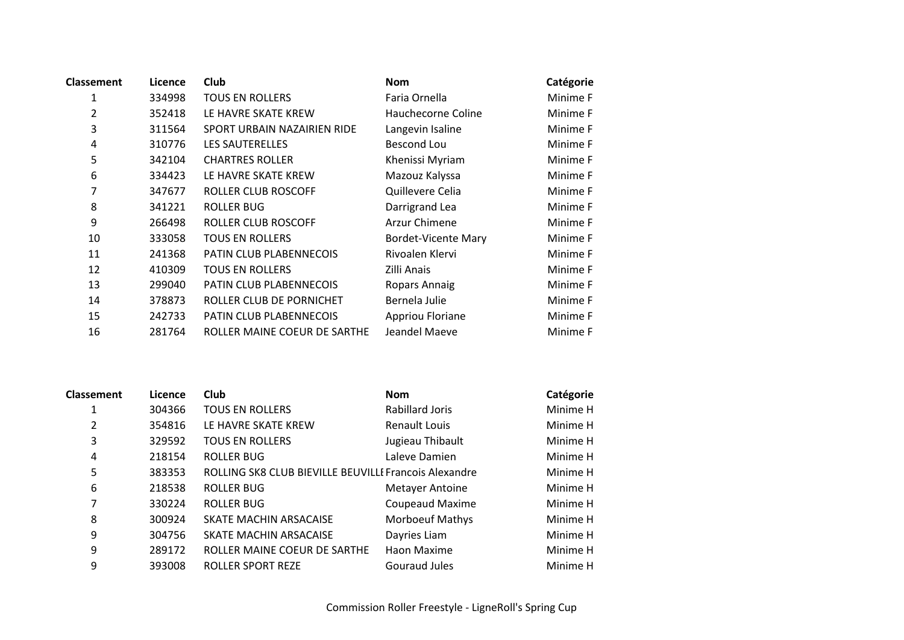| <b>Classement</b> | Licence | Club                           | <b>Nom</b>                 | Catégorie |
|-------------------|---------|--------------------------------|----------------------------|-----------|
| 1                 | 334998  | <b>TOUS EN ROLLERS</b>         | Faria Ornella              | Minime F  |
| 2                 | 352418  | LE HAVRE SKATE KREW            | Hauchecorne Coline         | Minime F  |
| 3                 | 311564  | SPORT URBAIN NAZAIRIEN RIDE    | Langevin Isaline           | Minime F  |
| $\overline{4}$    | 310776  | <b>LES SAUTERELLES</b>         | Bescond Lou                | Minime F  |
| 5                 | 342104  | <b>CHARTRES ROLLER</b>         | Khenissi Myriam            | Minime F  |
| 6                 | 334423  | LE HAVRE SKATE KREW            | Mazouz Kalyssa             | Minime F  |
| 7                 | 347677  | ROLLER CLUB ROSCOFF            | Quillevere Celia           | Minime F  |
| 8                 | 341221  | <b>ROLLER BUG</b>              | Darrigrand Lea             | Minime F  |
| 9                 | 266498  | ROLLER CLUB ROSCOFF            | Arzur Chimene              | Minime F  |
| 10                | 333058  | <b>TOUS EN ROLLERS</b>         | <b>Bordet-Vicente Mary</b> | Minime F  |
| 11                | 241368  | <b>PATIN CLUB PLABENNECOIS</b> | Rivoalen Klervi            | Minime F  |
| 12                | 410309  | <b>TOUS EN ROLLERS</b>         | Zilli Anais                | Minime F  |
| 13                | 299040  | PATIN CLUB PLABENNECOIS        | Ropars Annaig              | Minime F  |
| 14                | 378873  | ROLLER CLUB DE PORNICHET       | Bernela Julie              | Minime F  |
| 15                | 242733  | <b>PATIN CLUB PLABENNECOIS</b> | Appriou Floriane           | Minime F  |
| 16                | 281764  | ROLLER MAINE COEUR DE SARTHE   | Jeandel Maeve              | Minime F  |

| <b>Classement</b> | Licence | <b>Club</b>                                           | <b>Nom</b>             | Catégorie |
|-------------------|---------|-------------------------------------------------------|------------------------|-----------|
| 1                 | 304366  | <b>TOUS EN ROLLERS</b>                                | Rabillard Joris        | Minime H  |
| 2                 | 354816  | LE HAVRE SKATE KREW                                   | <b>Renault Louis</b>   | Minime H  |
| 3                 | 329592  | <b>TOUS EN ROLLERS</b>                                | Jugieau Thibault       | Minime H  |
| 4                 | 218154  | <b>ROLLER BUG</b>                                     | Laleve Damien          | Minime H  |
| 5                 | 383353  | ROLLING SK8 CLUB BIEVILLE BEUVILLE Francois Alexandre |                        | Minime H  |
| 6                 | 218538  | <b>ROLLER BUG</b>                                     | <b>Metayer Antoine</b> | Minime H  |
| 7                 | 330224  | <b>ROLLER BUG</b>                                     | <b>Coupeaud Maxime</b> | Minime H  |
| 8                 | 300924  | SKATE MACHIN ARSACAISE                                | <b>Morboeuf Mathys</b> | Minime H  |
| 9                 | 304756  | SKATE MACHIN ARSACAISE                                | Dayries Liam           | Minime H  |
| 9                 | 289172  | ROLLER MAINE COEUR DE SARTHE                          | Haon Maxime            | Minime H  |
| 9                 | 393008  | <b>ROLLER SPORT REZE</b>                              | Gouraud Jules          | Minime H  |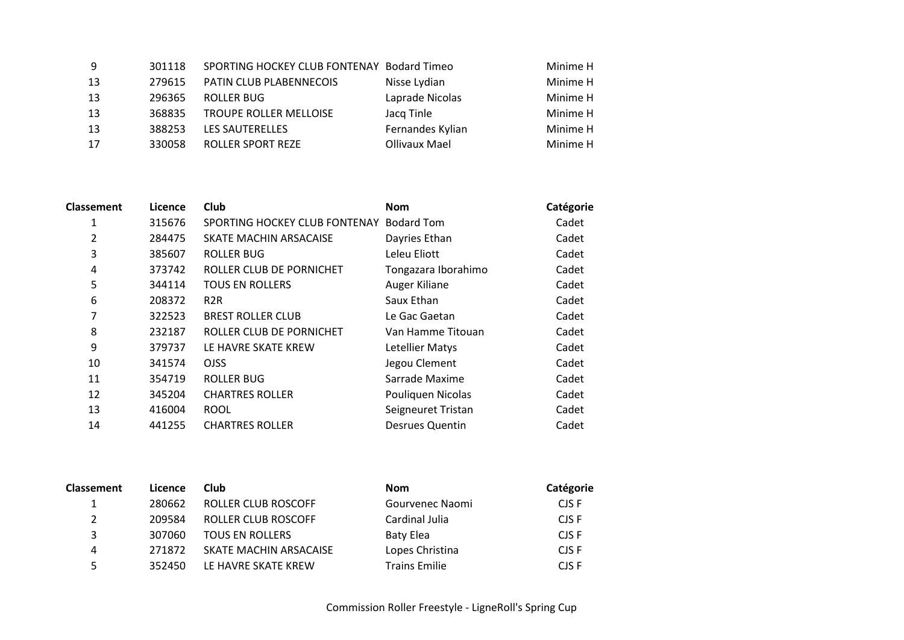| -9  | 301118 | SPORTING HOCKEY CLUB FONTENAY Bodard Timeo |                  | Minime H |
|-----|--------|--------------------------------------------|------------------|----------|
| 13  | 279615 | PATIN CLUB PLABENNECOIS                    | Nisse Lydian     | Minime H |
| -13 | 296365 | <b>ROLLER BUG</b>                          | Laprade Nicolas  | Minime H |
| -13 | 368835 | <b>TROUPE ROLLER MELLOISE</b>              | Jacq Tinle       | Minime H |
| -13 | 388253 | LES SAUTERELLES                            | Fernandes Kylian | Minime H |
| 17  | 330058 | <b>ROLLER SPORT REZE</b>                   | Ollivaux Mael    | Minime H |

| <b>Classement</b> | Licence | <b>Club</b>                              | <b>Nom</b>             | Catégorie |
|-------------------|---------|------------------------------------------|------------------------|-----------|
| 1                 | 315676  | SPORTING HOCKEY CLUB FONTENAY Bodard Tom |                        | Cadet     |
| 2                 | 284475  | SKATE MACHIN ARSACAISE                   | Dayries Ethan          | Cadet     |
| 3                 | 385607  | <b>ROLLER BUG</b>                        | Leleu Eliott           | Cadet     |
| 4                 | 373742  | ROLLER CLUB DE PORNICHET                 | Tongazara Iborahimo    | Cadet     |
| 5                 | 344114  | <b>TOUS EN ROLLERS</b>                   | Auger Kiliane          | Cadet     |
| 6                 | 208372  | R <sub>2</sub> R                         | Saux Ethan             | Cadet     |
| 7                 | 322523  | <b>BREST ROLLER CLUB</b>                 | Le Gac Gaetan          | Cadet     |
| 8                 | 232187  | ROLLER CLUB DE PORNICHET                 | Van Hamme Titouan      | Cadet     |
| 9                 | 379737  | LE HAVRE SKATE KREW                      | Letellier Matys        | Cadet     |
| 10                | 341574  | <b>OJSS</b>                              | Jegou Clement          | Cadet     |
| 11                | 354719  | <b>ROLLER BUG</b>                        | Sarrade Maxime         | Cadet     |
| 12                | 345204  | <b>CHARTRES ROLLER</b>                   | Pouliquen Nicolas      | Cadet     |
| 13                | 416004  | <b>ROOL</b>                              | Seigneuret Tristan     | Cadet     |
| 14                | 441255  | <b>CHARTRES ROLLER</b>                   | <b>Desrues Quentin</b> | Cadet     |
|                   |         |                                          |                        |           |

| <b>Classement</b> | Licence | <b>Club</b>            | <b>Nom</b>           | Catégorie |
|-------------------|---------|------------------------|----------------------|-----------|
|                   | 280662  | ROLLER CLUB ROSCOFF    | Gourvenec Naomi      | CJS F     |
|                   | 209584  | ROLLER CLUB ROSCOFF    | Cardinal Julia       | CJS F     |
| 3                 | 307060  | <b>TOUS EN ROLLERS</b> | Baty Elea            | CJS F     |
| 4                 | 271872  | SKATE MACHIN ARSACAISE | Lopes Christina      | CJS F     |
| 5.                | 352450  | LE HAVRE SKATE KREW    | <b>Trains Emilie</b> | CJS F     |